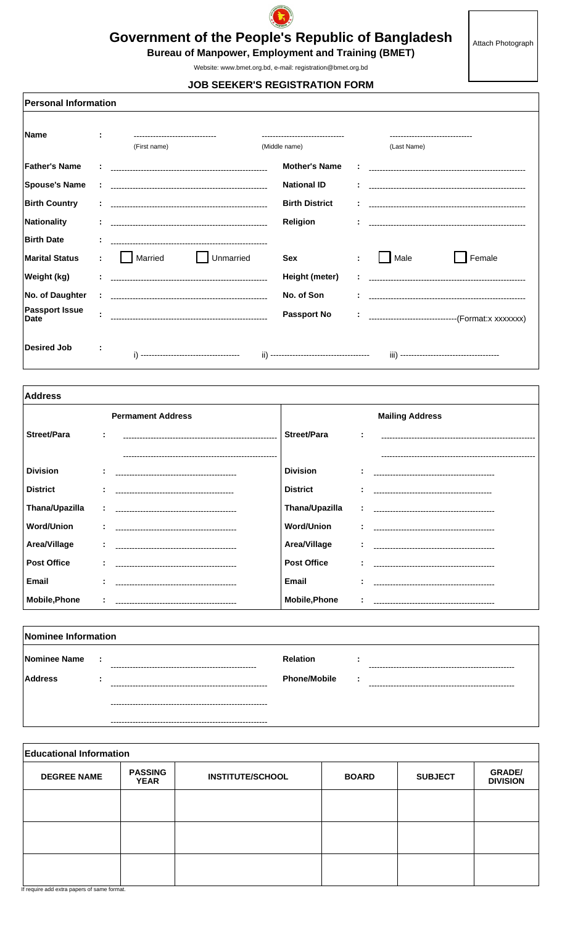

## **Government of the People's Republic of Bangladesh**

Attach Photograph

**Bureau of Manpower, Employment and Training (BMET)** 

Website: www.bmet.org.bd, e-mail: registration@bmet.org.bd

**JOB SEEKER'S REGISTRATION FORM** 

**Personal Information Name** ċ (First name) (Last Name) (Middle name) **Father's Name Mother's Name Spouse's Name National ID** ÷. **Birth Country Birth District** ÷ **Nationality** Religion ř. ÷ **Birth Date** ÷.  $\Box$  Female Unmarried  $\Box$  Male Married **Marital Status** ÷. **Sex** ŀ, Weight (kg) Height (meter) ----------------------------------No. of Daughter No. of Son Passport Issue<br>Date **Passport No** ----------------------------------(Format:x xxxxxxx) ÷ **Desired Job**  $\ddot{\phantom{a}}$ 

| <b>Address</b>       |                                       |                      |                |                                       |  |  |
|----------------------|---------------------------------------|----------------------|----------------|---------------------------------------|--|--|
|                      | <b>Permament Address</b>              |                      |                | <b>Mailing Address</b>                |  |  |
| <b>Street/Para</b>   | ÷                                     | <b>Street/Para</b>   | $\blacksquare$ |                                       |  |  |
|                      |                                       |                      |                |                                       |  |  |
| <b>Division</b>      |                                       | <b>Division</b>      | $\blacksquare$ |                                       |  |  |
| <b>District</b>      |                                       | <b>District</b>      |                |                                       |  |  |
| Thana/Upazilla       |                                       | Thana/Upazilla       | ÷              |                                       |  |  |
| <b>Word/Union</b>    |                                       | <b>Word/Union</b>    |                |                                       |  |  |
| Area/Village         |                                       | Area/Village         |                |                                       |  |  |
| <b>Post Office</b>   | ÷<br>-------------------------------- | <b>Post Office</b>   |                | ------------------------------------- |  |  |
| <b>Email</b>         |                                       | <b>Email</b>         |                |                                       |  |  |
| <b>Mobile, Phone</b> |                                       | <b>Mobile, Phone</b> |                |                                       |  |  |

| Nominee Information            |                  |                                             |                                        |      |                                    |  |
|--------------------------------|------------------|---------------------------------------------|----------------------------------------|------|------------------------------------|--|
| Nominee Name<br><b>Address</b> | $\sim$ 1.<br>. . |                                             | <b>Relation</b><br><b>Phone/Mobile</b> | - 11 |                                    |  |
|                                |                  | ----<br>----------------------------------- |                                        |      | ---------------------------------- |  |
|                                |                  |                                             |                                        |      |                                    |  |

**Educational Information PASSING<br>YEAR GRADE/**<br>DIVISION **DEGREE NAME SUBJECT INSTITUTE/SCHOOL BOARD** 

If require add extra papers of same format.